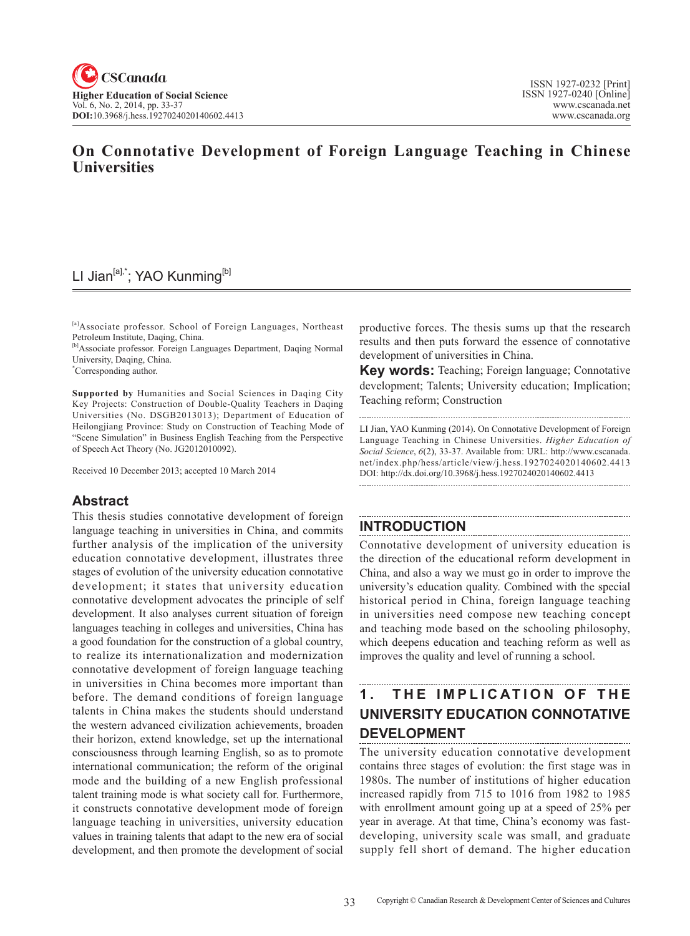## **On Connotative Development of Foreign Language Teaching in Chinese Universities**

# LI Jian<sup>[a],\*</sup>; YAO Kunming<sup>[b]</sup>

[a]Associate professor. School of Foreign Languages, Northeast Petroleum Institute, Daqing, China.

[b]Associate professor. Foreign Languages Department, Daqing Normal University, Daqing, China.

\* Corresponding author.

**Supported by** Humanities and Social Sciences in Daqing City Key Projects: Construction of Double-Quality Teachers in Daqing Universities (No. DSGB2013013); Department of Education of Heilongjiang Province: Study on Construction of Teaching Mode of "Scene Simulation" in Business English Teaching from the Perspective of Speech Act Theory (No. JG2012010092).

Received 10 December 2013; accepted 10 March 2014

#### **Abstract**

This thesis studies connotative development of foreign language teaching in universities in China, and commits further analysis of the implication of the university education connotative development, illustrates three stages of evolution of the university education connotative development; it states that university education connotative development advocates the principle of self development. It also analyses current situation of foreign languages teaching in colleges and universities, China has a good foundation for the construction of a global country, to realize its internationalization and modernization connotative development of foreign language teaching in universities in China becomes more important than before. The demand conditions of foreign language talents in China makes the students should understand the western advanced civilization achievements, broaden their horizon, extend knowledge, set up the international consciousness through learning English, so as to promote international communication; the reform of the original mode and the building of a new English professional talent training mode is what society call for. Furthermore, it constructs connotative development mode of foreign language teaching in universities, university education values in training talents that adapt to the new era of social development, and then promote the development of social productive forces. The thesis sums up that the research results and then puts forward the essence of connotative development of universities in China.

**Key words:** Teaching; Foreign language; Connotative development; Talents; University education; Implication; Teaching reform; Construction

LI Jian, YAO Kunming (2014). On Connotative Development of Foreign Language Teaching in Chinese Universities. *Higher Education of Social Science*, 6(2), 33-37. Available from: URL: http://www.cscanada. net/index.php/hess/article/view/j.hess.1927024020140602.4413 DOI: http://dx.doi.org/10.3968/j.hess.1927024020140602.4413

## **INTRODUCTION**

Connotative development of university education is the direction of the educational reform development in China, and also a way we must go in order to improve the university's education quality. Combined with the special historical period in China, foreign language teaching in universities need compose new teaching concept and teaching mode based on the schooling philosophy, which deepens education and teaching reform as well as improves the quality and level of running a school.

#### 1. THE IMPLICATION OF THE **UNIVERSITY EDUCATION CONNOTATIVE DEVELOPMENT**

The university education connotative development contains three stages of evolution: the first stage was in 1980s. The number of institutions of higher education increased rapidly from 715 to 1016 from 1982 to 1985 with enrollment amount going up at a speed of 25% per year in average. At that time, China's economy was fastdeveloping, university scale was small, and graduate supply fell short of demand. The higher education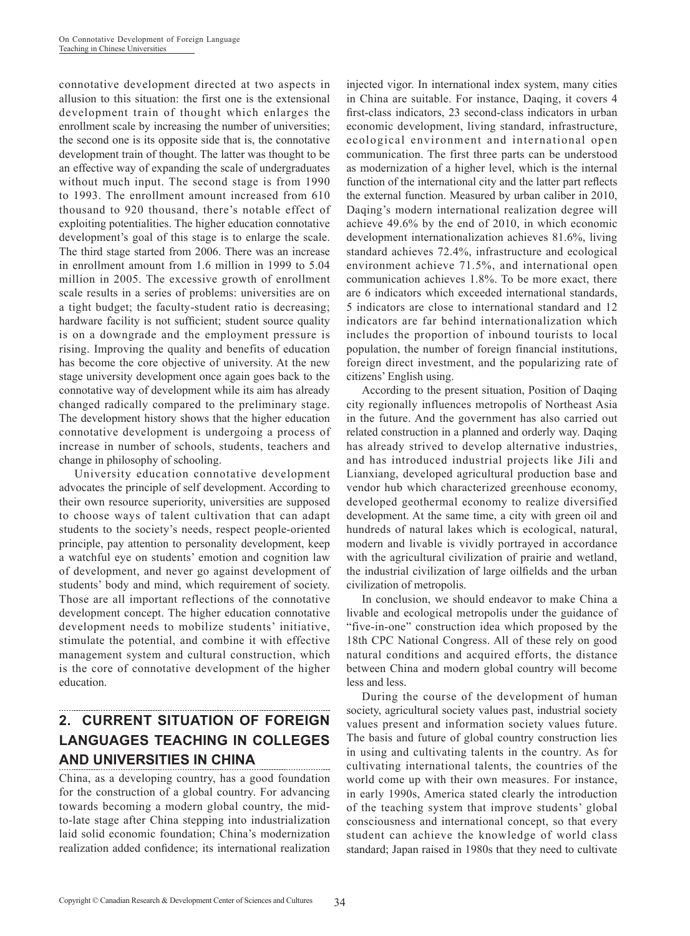connotative development directed at two aspects in allusion to this situation: the first one is the extensional development train of thought which enlarges the enrollment scale by increasing the number of universities; the second one is its opposite side that is, the connotative development train of thought. The latter was thought to be an effective way of expanding the scale of undergraduates without much input. The second stage is from 1990 to 1993. The enrollment amount increased from 610 thousand to 920 thousand, there's notable effect of exploiting potentialities. The higher education connotative development's goal of this stage is to enlarge the scale. The third stage started from 2006. There was an increase in enrollment amount from 1.6 million in 1999 to 5.04 million in 2005. The excessive growth of enrollment scale results in a series of problems: universities are on a tight budget; the faculty-student ratio is decreasing; hardware facility is not sufficient; student source quality is on a downgrade and the employment pressure is rising. Improving the quality and benefits of education has become the core objective of university. At the new stage university development once again goes back to the connotative way of development while its aim has already changed radically compared to the preliminary stage. The development history shows that the higher education connotative development is undergoing a process of increase in number of schools, students, teachers and change in philosophy of schooling.

University education connotative development advocates the principle of self development. According to their own resource superiority, universities are supposed to choose ways of talent cultivation that can adapt students to the society's needs, respect people-oriented principle, pay attention to personality development, keep a watchful eye on students' emotion and cognition law of development, and never go against development of students' body and mind, which requirement of society. Those are all important reflections of the connotative development concept. The higher education connotative development needs to mobilize students' initiative, stimulate the potential, and combine it with effective management system and cultural construction, which is the core of connotative development of the higher education.

#### **2. CURRENT SITUATION OF FOREIGN LANGUAGES TEACHING IN COLLEGES AND UNIVERSITIES IN CHINA**

China, as a developing country, has a good foundation for the construction of a global country. For advancing towards becoming a modern global country, the midto-late stage after China stepping into industrialization laid solid economic foundation; China's modernization realization added confidence; its international realization

injected vigor. In international index system, many cities in China are suitable. For instance, Daqing, it covers 4 first-class indicators, 23 second-class indicators in urban economic development, living standard, infrastructure, ecological environment and international open communication. The first three parts can be understood as modernization of a higher level, which is the internal function of the international city and the latter part reflects the external function. Measured by urban caliber in 2010, Daqing's modern international realization degree will achieve 49.6% by the end of 2010, in which economic development internationalization achieves 81.6%, living standard achieves 72.4%, infrastructure and ecological environment achieve 71.5%, and international open communication achieves 1.8%. To be more exact, there are 6 indicators which exceeded international standards, 5 indicators are close to international standard and 12 indicators are far behind internationalization which includes the proportion of inbound tourists to local population, the number of foreign financial institutions, foreign direct investment, and the popularizing rate of citizens' English using.

According to the present situation, Position of Daqing city regionally influences metropolis of Northeast Asia in the future. And the government has also carried out related construction in a planned and orderly way. Daqing has already strived to develop alternative industries, and has introduced industrial projects like Jili and Lianxiang, developed agricultural production base and vendor hub which characterized greenhouse economy, developed geothermal economy to realize diversified development. At the same time, a city with green oil and hundreds of natural lakes which is ecological, natural, modern and livable is vividly portrayed in accordance with the agricultural civilization of prairie and wetland, the industrial civilization of large oilfields and the urban civilization of metropolis.

In conclusion, we should endeavor to make China a livable and ecological metropolis under the guidance of "five-in-one" construction idea which proposed by the 18th CPC National Congress. All of these rely on good natural conditions and acquired efforts, the distance between China and modern global country will become less and less.

During the course of the development of human society, agricultural society values past, industrial society values present and information society values future. The basis and future of global country construction lies in using and cultivating talents in the country. As for cultivating international talents, the countries of the world come up with their own measures. For instance, in early 1990s, America stated clearly the introduction of the teaching system that improve students' global consciousness and international concept, so that every student can achieve the knowledge of world class standard; Japan raised in 1980s that they need to cultivate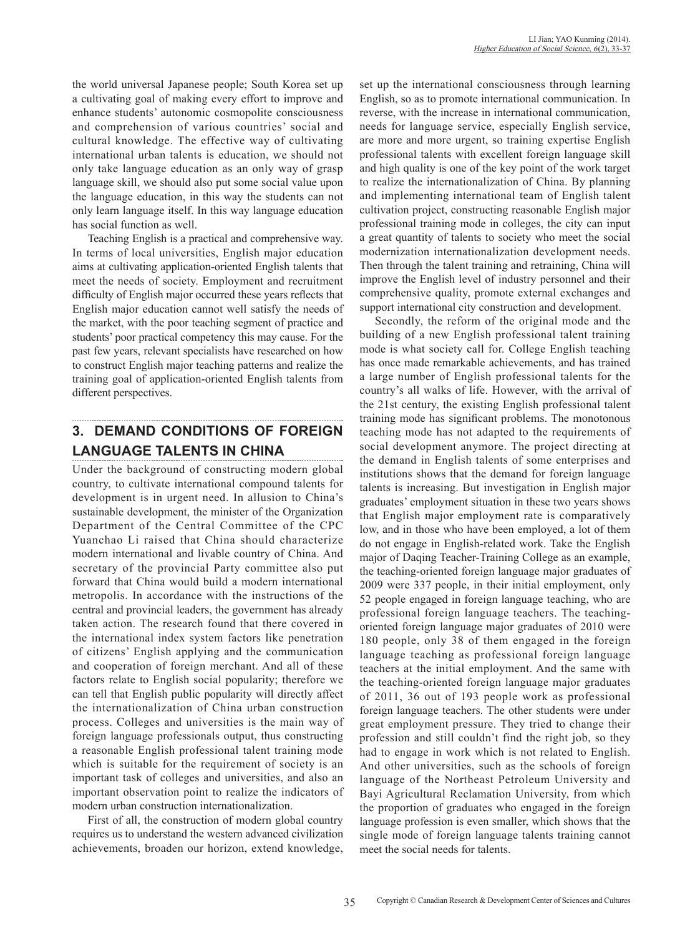the world universal Japanese people; South Korea set up a cultivating goal of making every effort to improve and enhance students' autonomic cosmopolite consciousness and comprehension of various countries' social and cultural knowledge. The effective way of cultivating international urban talents is education, we should not only take language education as an only way of grasp language skill, we should also put some social value upon the language education, in this way the students can not only learn language itself. In this way language education has social function as well.

Teaching English is a practical and comprehensive way. In terms of local universities, English major education aims at cultivating application-oriented English talents that meet the needs of society. Employment and recruitment difficulty of English major occurred these years reflects that English major education cannot well satisfy the needs of the market, with the poor teaching segment of practice and students' poor practical competency this may cause. For the past few years, relevant specialists have researched on how to construct English major teaching patterns and realize the training goal of application-oriented English talents from different perspectives.

# **3. DEMAND CONDITIONS OF FOREIGN LANGUAGE TALENTS IN CHINA**

Under the background of constructing modern global country, to cultivate international compound talents for development is in urgent need. In allusion to China's sustainable development, the minister of the Organization Department of the Central Committee of the CPC Yuanchao Li raised that China should characterize modern international and livable country of China. And secretary of the provincial Party committee also put forward that China would build a modern international metropolis. In accordance with the instructions of the central and provincial leaders, the government has already taken action. The research found that there covered in the international index system factors like penetration of citizens' English applying and the communication and cooperation of foreign merchant. And all of these factors relate to English social popularity; therefore we can tell that English public popularity will directly affect the internationalization of China urban construction process. Colleges and universities is the main way of foreign language professionals output, thus constructing a reasonable English professional talent training mode which is suitable for the requirement of society is an important task of colleges and universities, and also an important observation point to realize the indicators of modern urban construction internationalization.

First of all, the construction of modern global country requires us to understand the western advanced civilization achievements, broaden our horizon, extend knowledge, set up the international consciousness through learning English, so as to promote international communication. In reverse, with the increase in international communication, needs for language service, especially English service, are more and more urgent, so training expertise English professional talents with excellent foreign language skill and high quality is one of the key point of the work target to realize the internationalization of China. By planning and implementing international team of English talent cultivation project, constructing reasonable English major professional training mode in colleges, the city can input a great quantity of talents to society who meet the social modernization internationalization development needs. Then through the talent training and retraining, China will improve the English level of industry personnel and their comprehensive quality, promote external exchanges and support international city construction and development.

Secondly, the reform of the original mode and the building of a new English professional talent training mode is what society call for. College English teaching has once made remarkable achievements, and has trained a large number of English professional talents for the country's all walks of life. However, with the arrival of the 21st century, the existing English professional talent training mode has significant problems. The monotonous teaching mode has not adapted to the requirements of social development anymore. The project directing at the demand in English talents of some enterprises and institutions shows that the demand for foreign language talents is increasing. But investigation in English major graduates' employment situation in these two years shows that English major employment rate is comparatively low, and in those who have been employed, a lot of them do not engage in English-related work. Take the English major of Daqing Teacher-Training College as an example, the teaching-oriented foreign language major graduates of 2009 were 337 people, in their initial employment, only 52 people engaged in foreign language teaching, who are professional foreign language teachers. The teachingoriented foreign language major graduates of 2010 were 180 people, only 38 of them engaged in the foreign language teaching as professional foreign language teachers at the initial employment. And the same with the teaching-oriented foreign language major graduates of 2011, 36 out of 193 people work as professional foreign language teachers. The other students were under great employment pressure. They tried to change their profession and still couldn't find the right job, so they had to engage in work which is not related to English. And other universities, such as the schools of foreign language of the Northeast Petroleum University and Bayi Agricultural Reclamation University, from which the proportion of graduates who engaged in the foreign language profession is even smaller, which shows that the single mode of foreign language talents training cannot meet the social needs for talents.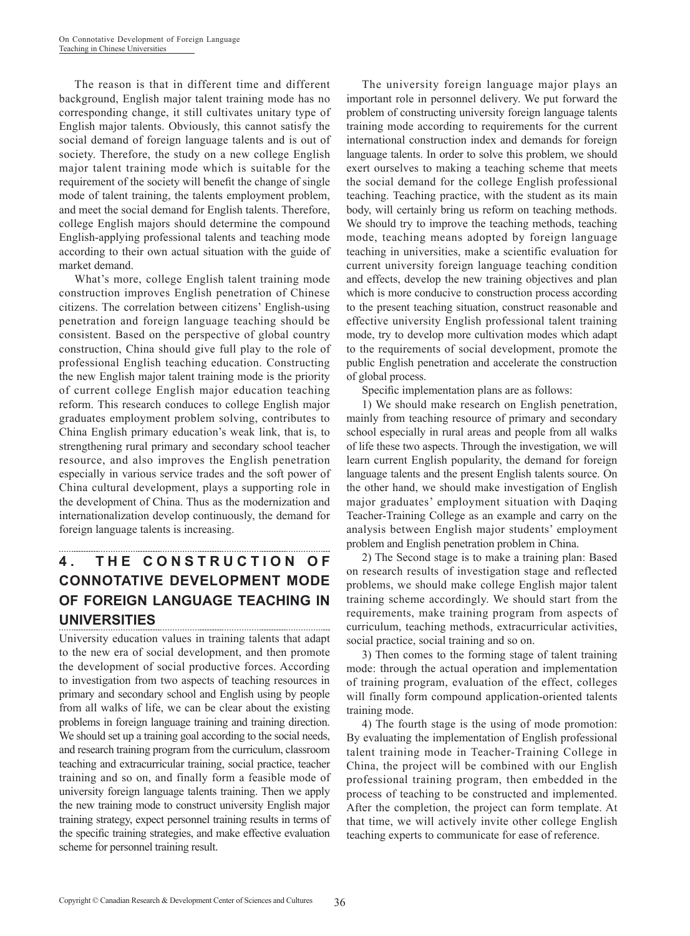The reason is that in different time and different background, English major talent training mode has no corresponding change, it still cultivates unitary type of English major talents. Obviously, this cannot satisfy the social demand of foreign language talents and is out of society. Therefore, the study on a new college English major talent training mode which is suitable for the requirement of the society will benefit the change of single mode of talent training, the talents employment problem, and meet the social demand for English talents. Therefore, college English majors should determine the compound English-applying professional talents and teaching mode according to their own actual situation with the guide of market demand.

What's more, college English talent training mode construction improves English penetration of Chinese citizens. The correlation between citizens' English-using penetration and foreign language teaching should be consistent. Based on the perspective of global country construction, China should give full play to the role of professional English teaching education. Constructing the new English major talent training mode is the priority of current college English major education teaching reform. This research conduces to college English major graduates employment problem solving, contributes to China English primary education's weak link, that is, to strengthening rural primary and secondary school teacher resource, and also improves the English penetration especially in various service trades and the soft power of China cultural development, plays a supporting role in the development of China. Thus as the modernization and internationalization develop continuously, the demand for foreign language talents is increasing.

### **4. THE CONSTRUCTION OF CONNOTATIVE DEVELOPMENT MODE OF FOREIGN LANGUAGE TEACHING IN UNIVERSITIES**

University education values in training talents that adapt to the new era of social development, and then promote the development of social productive forces. According to investigation from two aspects of teaching resources in primary and secondary school and English using by people from all walks of life, we can be clear about the existing problems in foreign language training and training direction. We should set up a training goal according to the social needs, and research training program from the curriculum, classroom teaching and extracurricular training, social practice, teacher training and so on, and finally form a feasible mode of university foreign language talents training. Then we apply the new training mode to construct university English major training strategy, expect personnel training results in terms of the specific training strategies, and make effective evaluation scheme for personnel training result.

The university foreign language major plays an important role in personnel delivery. We put forward the problem of constructing university foreign language talents training mode according to requirements for the current international construction index and demands for foreign language talents. In order to solve this problem, we should exert ourselves to making a teaching scheme that meets the social demand for the college English professional teaching. Teaching practice, with the student as its main body, will certainly bring us reform on teaching methods. We should try to improve the teaching methods, teaching mode, teaching means adopted by foreign language teaching in universities, make a scientific evaluation for current university foreign language teaching condition and effects, develop the new training objectives and plan which is more conducive to construction process according to the present teaching situation, construct reasonable and effective university English professional talent training mode, try to develop more cultivation modes which adapt to the requirements of social development, promote the public English penetration and accelerate the construction of global process.

Specific implementation plans are as follows:

1) We should make research on English penetration, mainly from teaching resource of primary and secondary school especially in rural areas and people from all walks of life these two aspects. Through the investigation, we will learn current English popularity, the demand for foreign language talents and the present English talents source. On the other hand, we should make investigation of English major graduates' employment situation with Daqing Teacher-Training College as an example and carry on the analysis between English major students' employment problem and English penetration problem in China.

2) The Second stage is to make a training plan: Based on research results of investigation stage and reflected problems, we should make college English major talent training scheme accordingly. We should start from the requirements, make training program from aspects of curriculum, teaching methods, extracurricular activities, social practice, social training and so on.

3) Then comes to the forming stage of talent training mode: through the actual operation and implementation of training program, evaluation of the effect, colleges will finally form compound application-oriented talents training mode.

4) The fourth stage is the using of mode promotion: By evaluating the implementation of English professional talent training mode in Teacher-Training College in China, the project will be combined with our English professional training program, then embedded in the process of teaching to be constructed and implemented. After the completion, the project can form template. At that time, we will actively invite other college English teaching experts to communicate for ease of reference.